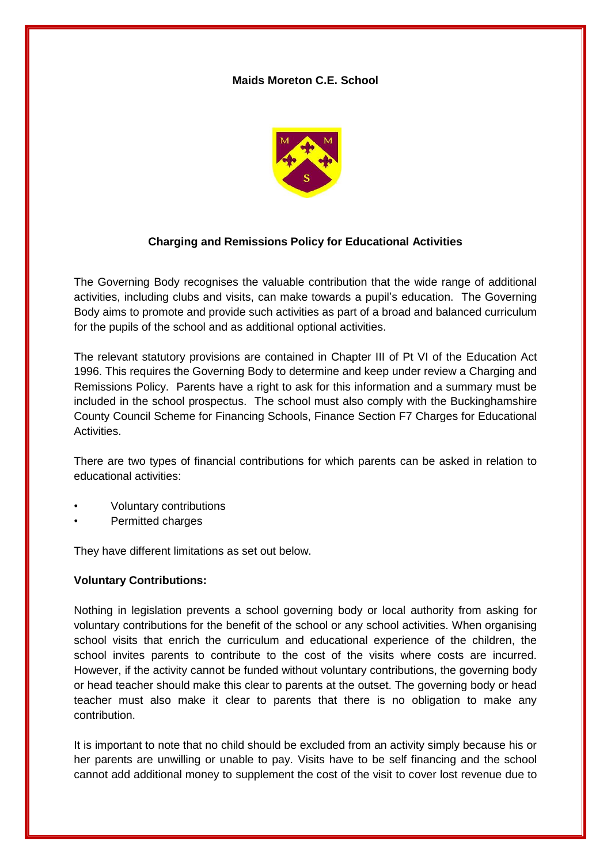## **Maids Moreton C.E. School**



## **Charging and Remissions Policy for Educational Activities**

The Governing Body recognises the valuable contribution that the wide range of additional activities, including clubs and visits, can make towards a pupil's education. The Governing Body aims to promote and provide such activities as part of a broad and balanced curriculum for the pupils of the school and as additional optional activities.

The relevant statutory provisions are contained in Chapter III of Pt VI of the Education Act 1996. This requires the Governing Body to determine and keep under review a Charging and Remissions Policy. Parents have a right to ask for this information and a summary must be included in the school prospectus. The school must also comply with the Buckinghamshire County Council Scheme for Financing Schools, Finance Section F7 Charges for Educational Activities.

There are two types of financial contributions for which parents can be asked in relation to educational activities:

- Voluntary contributions
- Permitted charges

They have different limitations as set out below.

#### **Voluntary Contributions:**

Nothing in legislation prevents a school governing body or local authority from asking for voluntary contributions for the benefit of the school or any school activities. When organising school visits that enrich the curriculum and educational experience of the children, the school invites parents to contribute to the cost of the visits where costs are incurred. However, if the activity cannot be funded without voluntary contributions, the governing body or head teacher should make this clear to parents at the outset. The governing body or head teacher must also make it clear to parents that there is no obligation to make any contribution.

It is important to note that no child should be excluded from an activity simply because his or her parents are unwilling or unable to pay. Visits have to be self financing and the school cannot add additional money to supplement the cost of the visit to cover lost revenue due to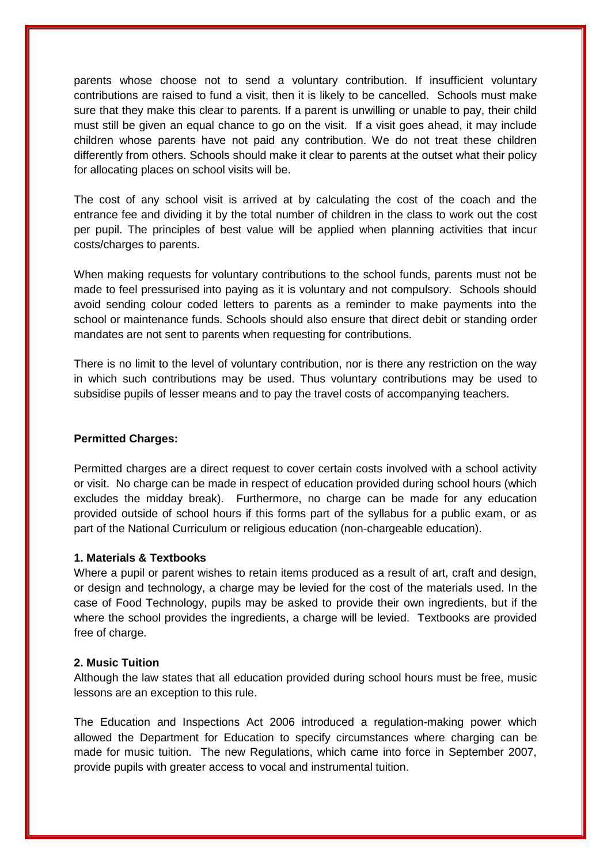parents whose choose not to send a voluntary contribution. If insufficient voluntary contributions are raised to fund a visit, then it is likely to be cancelled. Schools must make sure that they make this clear to parents. If a parent is unwilling or unable to pay, their child must still be given an equal chance to go on the visit. If a visit goes ahead, it may include children whose parents have not paid any contribution. We do not treat these children differently from others. Schools should make it clear to parents at the outset what their policy for allocating places on school visits will be.

The cost of any school visit is arrived at by calculating the cost of the coach and the entrance fee and dividing it by the total number of children in the class to work out the cost per pupil. The principles of best value will be applied when planning activities that incur costs/charges to parents.

When making requests for voluntary contributions to the school funds, parents must not be made to feel pressurised into paying as it is voluntary and not compulsory. Schools should avoid sending colour coded letters to parents as a reminder to make payments into the school or maintenance funds. Schools should also ensure that direct debit or standing order mandates are not sent to parents when requesting for contributions.

There is no limit to the level of voluntary contribution, nor is there any restriction on the way in which such contributions may be used. Thus voluntary contributions may be used to subsidise pupils of lesser means and to pay the travel costs of accompanying teachers.

## **Permitted Charges:**

Permitted charges are a direct request to cover certain costs involved with a school activity or visit. No charge can be made in respect of education provided during school hours (which excludes the midday break). Furthermore, no charge can be made for any education provided outside of school hours if this forms part of the syllabus for a public exam, or as part of the National Curriculum or religious education (non-chargeable education).

## **1. Materials & Textbooks**

Where a pupil or parent wishes to retain items produced as a result of art, craft and design, or design and technology, a charge may be levied for the cost of the materials used. In the case of Food Technology, pupils may be asked to provide their own ingredients, but if the where the school provides the ingredients, a charge will be levied. Textbooks are provided free of charge.

#### **2. Music Tuition**

Although the law states that all education provided during school hours must be free, music lessons are an exception to this rule.

The Education and Inspections Act 2006 introduced a regulation-making power which allowed the Department for Education to specify circumstances where charging can be made for music tuition. The new Regulations, which came into force in September 2007, provide pupils with greater access to vocal and instrumental tuition.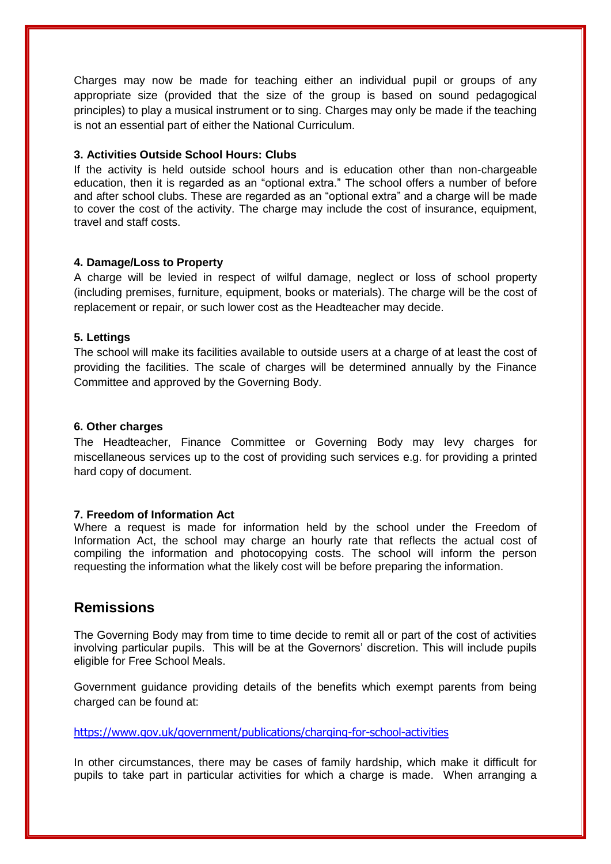Charges may now be made for teaching either an individual pupil or groups of any appropriate size (provided that the size of the group is based on sound pedagogical principles) to play a musical instrument or to sing. Charges may only be made if the teaching is not an essential part of either the National Curriculum.

#### **3. Activities Outside School Hours: Clubs**

If the activity is held outside school hours and is education other than non-chargeable education, then it is regarded as an "optional extra." The school offers a number of before and after school clubs. These are regarded as an "optional extra" and a charge will be made to cover the cost of the activity. The charge may include the cost of insurance, equipment, travel and staff costs.

## **4. Damage/Loss to Property**

A charge will be levied in respect of wilful damage, neglect or loss of school property (including premises, furniture, equipment, books or materials). The charge will be the cost of replacement or repair, or such lower cost as the Headteacher may decide.

## **5. Lettings**

The school will make its facilities available to outside users at a charge of at least the cost of providing the facilities. The scale of charges will be determined annually by the Finance Committee and approved by the Governing Body.

#### **6. Other charges**

The Headteacher, Finance Committee or Governing Body may levy charges for miscellaneous services up to the cost of providing such services e.g. for providing a printed hard copy of document.

## **7. Freedom of Information Act**

Where a request is made for information held by the school under the Freedom of Information Act, the school may charge an hourly rate that reflects the actual cost of compiling the information and photocopying costs. The school will inform the person requesting the information what the likely cost will be before preparing the information.

# **Remissions**

The Governing Body may from time to time decide to remit all or part of the cost of activities involving particular pupils. This will be at the Governors' discretion. This will include pupils eligible for Free School Meals.

Government guidance providing details of the benefits which exempt parents from being charged can be found at:

<https://www.gov.uk/government/publications/charging-for-school-activities>

In other circumstances, there may be cases of family hardship, which make it difficult for pupils to take part in particular activities for which a charge is made. When arranging a